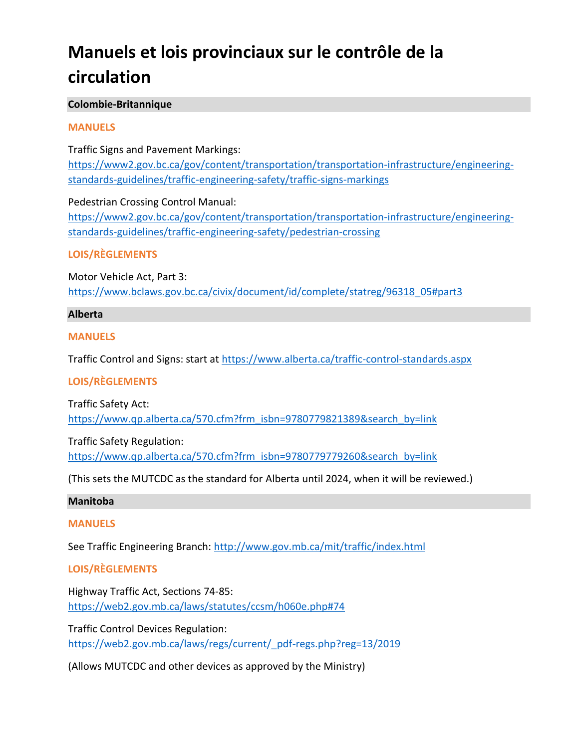# **Manuels et lois provinciaux sur le contrôle de la circulation**

# **Colombie-Britannique**

# **MANUELS**

Traffic Signs and Pavement Markings: [https://www2.gov.bc.ca/gov/content/transportation/transportation-infrastructure/engineering](https://www2.gov.bc.ca/gov/content/transportation/transportation-infrastructure/engineering-standards-guidelines/traffic-engineering-safety/traffic-signs-markings)[standards-guidelines/traffic-engineering-safety/traffic-signs-markings](https://www2.gov.bc.ca/gov/content/transportation/transportation-infrastructure/engineering-standards-guidelines/traffic-engineering-safety/traffic-signs-markings)

Pedestrian Crossing Control Manual:  [https://www2.gov.bc.ca/gov/content/transportation/transportation-infrastructure/engineering](https://www2.gov.bc.ca/gov/content/transportation/transportation-infrastructure/engineering-standards-guidelines/traffic-engineering-safety/pedestrian-crossing)[standards-guidelines/traffic-engineering-safety/pedestrian-crossing](https://www2.gov.bc.ca/gov/content/transportation/transportation-infrastructure/engineering-standards-guidelines/traffic-engineering-safety/pedestrian-crossing)

# **LOIS/RÈGLEMENTS**

Motor Vehicle Act, Part 3: [https://www.bclaws.gov.bc.ca/civix/document/id/complete/statreg/96318\\_05#part3](https://www.bclaws.gov.bc.ca/civix/document/id/complete/statreg/96318_05#part3)

# **Alberta**

# **MANUELS**

Traffic Control and Signs: start at <https://www.alberta.ca/traffic-control-standards.aspx>

# **LOIS/RÈGLEMENTS**

Traffic Safety Act: [https://www.qp.alberta.ca/570.cfm?frm\\_isbn=9780779821389&search\\_by=link](https://www.qp.alberta.ca/570.cfm?frm_isbn=9780779821389&search_by=link)

Traffic Safety Regulation:

[https://www.qp.alberta.ca/570.cfm?frm\\_isbn=9780779779260&search\\_by=link](https://www.qp.alberta.ca/570.cfm?frm_isbn=9780779779260&search_by=link)

(This sets the MUTCDC as the standard for Alberta until 2024, when it will be reviewed.)

# **Manitoba**

# **MANUELS**

See Traffic Engineering Branch: <http://www.gov.mb.ca/mit/traffic/index.html>

# **LOIS/RÈGLEMENTS**

Highway Traffic Act, Sections 74-85: <https://web2.gov.mb.ca/laws/statutes/ccsm/h060e.php#74>

Traffic Control Devices Regulation: [https://web2.gov.mb.ca/laws/regs/current/\\_pdf-regs.php?reg=13/2019](https://web2.gov.mb.ca/laws/regs/current/_pdf-regs.php?reg=13/2019)

(Allows MUTCDC and other devices as approved by the Ministry)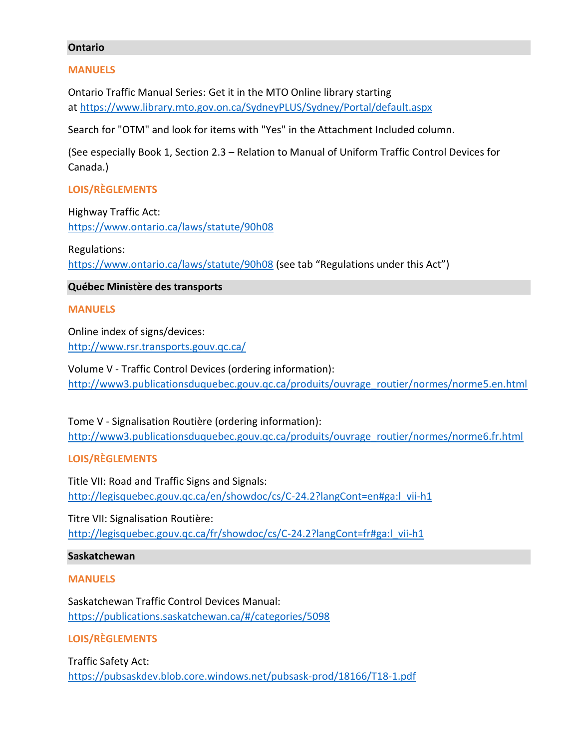#### **Ontario**

#### **MANUELS**

Ontario Traffic Manual Series: Get it in the MTO Online library starting at <https://www.library.mto.gov.on.ca/SydneyPLUS/Sydney/Portal/default.aspx>

Search for "OTM" and look for items with "Yes" in the Attachment Included column.

(See especially Book 1, Section 2.3 – Relation to Manual of Uniform Traffic Control Devices for Canada.)

## **LOIS/RÈGLEMENTS**

Highway Traffic Act: <https://www.ontario.ca/laws/statute/90h08>

Regulations: <https://www.ontario.ca/laws/statute/90h08> (see tab "Regulations under this Act")

## **Québec Ministère des transports**

#### **MANUELS**

Online index of signs/devices: <http://www.rsr.transports.gouv.qc.ca/>

Volume V - Traffic Control Devices (ordering information): [http://www3.publicationsduquebec.gouv.qc.ca/produits/ouvrage\\_routier/normes/norme5.en.html](http://www3.publicationsduquebec.gouv.qc.ca/produits/ouvrage_routier/normes/norme5.en.html)

Tome V - Signalisation Routière (ordering information): [http://www3.publicationsduquebec.gouv.qc.ca/produits/ouvrage\\_routier/normes/norme6.fr.html](http://www3.publicationsduquebec.gouv.qc.ca/produits/ouvrage_routier/normes/norme6.fr.html)

#### **LOIS/RÈGLEMENTS**

Title VII: Road and Traffic Signs and Signals: [http://legisquebec.gouv.qc.ca/en/showdoc/cs/C-24.2?langCont=en#ga:l\\_vii-h1](http://legisquebec.gouv.qc.ca/en/showdoc/cs/C-24.2?langCont=en#ga:l_vii-h1)

Titre VII: Signalisation Routière: [http://legisquebec.gouv.qc.ca/fr/showdoc/cs/C-24.2?langCont=fr#ga:l\\_vii-h1](http://legisquebec.gouv.qc.ca/fr/showdoc/cs/C-24.2?langCont=fr#ga:l_vii-h1)

#### **Saskatchewan**

#### **MANUELS**

Saskatchewan Traffic Control Devices Manual:  <https://publications.saskatchewan.ca/#/categories/5098>

#### **LOIS/RÈGLEMENTS**

Traffic Safety Act: <https://pubsaskdev.blob.core.windows.net/pubsask-prod/18166/T18-1.pdf>